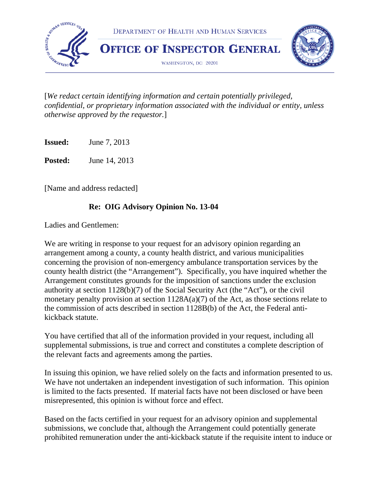

[*We redact certain identifying information and certain potentially privileged, confidential, or proprietary information associated with the individual or entity, unless otherwise approved by the requestor.*]

**Issued:** June 7, 2013

**Posted:** June 14, 2013

[Name and address redacted]

### **Re: OIG Advisory Opinion No. 13-04**

Ladies and Gentlemen:

We are writing in response to your request for an advisory opinion regarding an arrangement among a county, a county health district, and various municipalities concerning the provision of non-emergency ambulance transportation services by the county health district (the "Arrangement"). Specifically, you have inquired whether the Arrangement constitutes grounds for the imposition of sanctions under the exclusion authority at section 1128(b)(7) of the Social Security Act (the "Act"), or the civil monetary penalty provision at section 1128A(a)(7) of the Act, as those sections relate to the commission of acts described in section 1128B(b) of the Act, the Federal antikickback statute.

You have certified that all of the information provided in your request, including all supplemental submissions, is true and correct and constitutes a complete description of the relevant facts and agreements among the parties.

In issuing this opinion, we have relied solely on the facts and information presented to us. We have not undertaken an independent investigation of such information. This opinion is limited to the facts presented. If material facts have not been disclosed or have been misrepresented, this opinion is without force and effect.

Based on the facts certified in your request for an advisory opinion and supplemental submissions, we conclude that, although the Arrangement could potentially generate prohibited remuneration under the anti-kickback statute if the requisite intent to induce or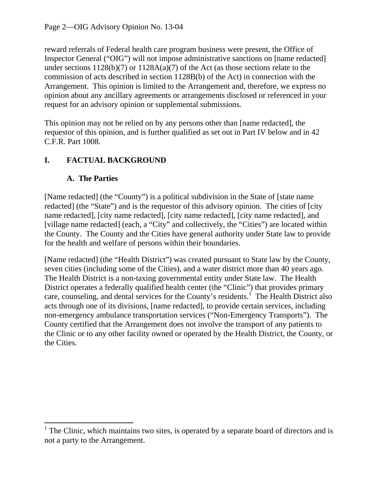reward referrals of Federal health care program business were present, the Office of Inspector General ("OIG") will not impose administrative sanctions on [name redacted] under sections 1128(b)(7) or 1128A(a)(7) of the Act (as those sections relate to the commission of acts described in section 1128B(b) of the Act) in connection with the Arrangement. This opinion is limited to the Arrangement and, therefore, we express no opinion about any ancillary agreements or arrangements disclosed or referenced in your request for an advisory opinion or supplemental submissions.

This opinion may not be relied on by any persons other than [name redacted], the requestor of this opinion, and is further qualified as set out in Part IV below and in 42 C.F.R. Part 1008.

# **I. FACTUAL BACKGROUND**

## **A. The Parties**

[Name redacted] (the "County") is a political subdivision in the State of [state name redacted] (the "State") and is the requestor of this advisory opinion. The cities of [city name redacted], [city name redacted], [city name redacted], [city name redacted], and [village name redacted] (each, a "City" and collectively, the "Cities") are located within the County. The County and the Cities have general authority under State law to provide for the health and welfare of persons within their boundaries.

[Name redacted] (the "Health District") was created pursuant to State law by the County, seven cities (including some of the Cities), and a water district more than 40 years ago. The Health District is a non-taxing governmental entity under State law. The Health District operates a federally qualified health center (the "Clinic") that provides primary care, counseling, and dental services for the County's residents.<sup>1</sup> The Health District also acts through one of its divisions, [name redacted], to provide certain services, including non-emergency ambulance transportation services ("Non-Emergency Transports"). The County certified that the Arrangement does not involve the transport of any patients to the Clinic or to any other facility owned or operated by the Health District, the County, or the Cities.

 $<sup>1</sup>$  The Clinic, which maintains two sites, is operated by a separate board of directors and is</sup> not a party to the Arrangement.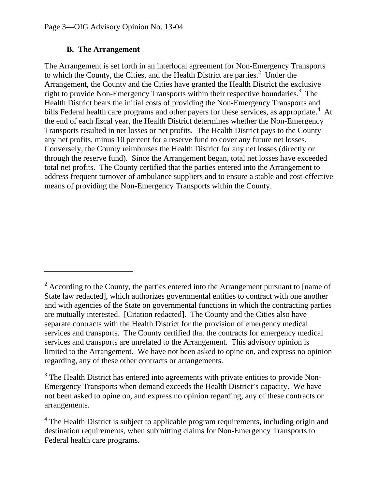#### **B. The Arrangement**

The Arrangement is set forth in an interlocal agreement for Non-Emergency Transports to which the County, the Cities, and the Health District are parties.<sup>2</sup> Under the Arrangement, the County and the Cities have granted the Health District the exclusive right to provide Non-Emergency Transports within their respective boundaries.<sup>3</sup> The Health District bears the initial costs of providing the Non-Emergency Transports and bills Federal health care programs and other payers for these services, as appropriate.<sup>4</sup> At the end of each fiscal year, the Health District determines whether the Non-Emergency Transports resulted in net losses or net profits. The Health District pays to the County any net profits, minus 10 percent for a reserve fund to cover any future net losses. Conversely, the County reimburses the Health District for any net losses (directly or through the reserve fund). Since the Arrangement began, total net losses have exceeded total net profits. The County certified that the parties entered into the Arrangement to address frequent turnover of ambulance suppliers and to ensure a stable and cost-effective means of providing the Non-Emergency Transports within the County.

 $2^2$  According to the County, the parties entered into the Arrangement pursuant to [name of State law redacted], which authorizes governmental entities to contract with one another and with agencies of the State on governmental functions in which the contracting parties are mutually interested. [Citation redacted]. The County and the Cities also have separate contracts with the Health District for the provision of emergency medical services and transports. The County certified that the contracts for emergency medical services and transports are unrelated to the Arrangement. This advisory opinion is limited to the Arrangement. We have not been asked to opine on, and express no opinion regarding, any of these other contracts or arrangements.

 $3$  The Health District has entered into agreements with private entities to provide Non-Emergency Transports when demand exceeds the Health District's capacity. We have not been asked to opine on, and express no opinion regarding, any of these contracts or arrangements.

<sup>&</sup>lt;sup>4</sup> The Health District is subject to applicable program requirements, including origin and destination requirements, when submitting claims for Non-Emergency Transports to Federal health care programs.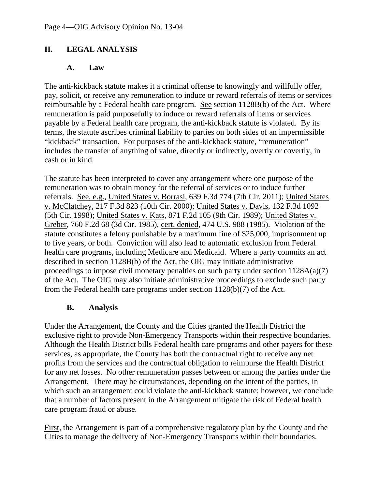## **II. LEGAL ANALYSIS**

#### **A. Law**

The anti-kickback statute makes it a criminal offense to knowingly and willfully offer, pay, solicit, or receive any remuneration to induce or reward referrals of items or services reimbursable by a Federal health care program. See section 1128B(b) of the Act. Where remuneration is paid purposefully to induce or reward referrals of items or services payable by a Federal health care program, the anti-kickback statute is violated. By its terms, the statute ascribes criminal liability to parties on both sides of an impermissible "kickback" transaction. For purposes of the anti-kickback statute, "remuneration" includes the transfer of anything of value, directly or indirectly, overtly or covertly, in cash or in kind.

The statute has been interpreted to cover any arrangement where one purpose of the remuneration was to obtain money for the referral of services or to induce further referrals. See, e.g., United States v. Borrasi, 639 F.3d 774 (7th Cir. 2011); United States v. McClatchey, 217 F.3d 823 (10th Cir. 2000); United States v. Davis, 132 F.3d 1092 (5th Cir. 1998); United States v. Kats, 871 F.2d 105 (9th Cir. 1989); United States v. Greber, 760 F.2d 68 (3d Cir. 1985), cert. denied, 474 U.S. 988 (1985). Violation of the statute constitutes a felony punishable by a maximum fine of \$25,000, imprisonment up to five years, or both. Conviction will also lead to automatic exclusion from Federal health care programs, including Medicare and Medicaid. Where a party commits an act described in section 1128B(b) of the Act, the OIG may initiate administrative proceedings to impose civil monetary penalties on such party under section 1128A(a)(7) of the Act. The OIG may also initiate administrative proceedings to exclude such party from the Federal health care programs under section 1128(b)(7) of the Act.

### **B. Analysis**

Under the Arrangement, the County and the Cities granted the Health District the exclusive right to provide Non-Emergency Transports within their respective boundaries. Although the Health District bills Federal health care programs and other payers for these services, as appropriate, the County has both the contractual right to receive any net profits from the services and the contractual obligation to reimburse the Health District for any net losses. No other remuneration passes between or among the parties under the Arrangement. There may be circumstances, depending on the intent of the parties, in which such an arrangement could violate the anti-kickback statute; however, we conclude that a number of factors present in the Arrangement mitigate the risk of Federal health care program fraud or abuse.

First, the Arrangement is part of a comprehensive regulatory plan by the County and the Cities to manage the delivery of Non-Emergency Transports within their boundaries.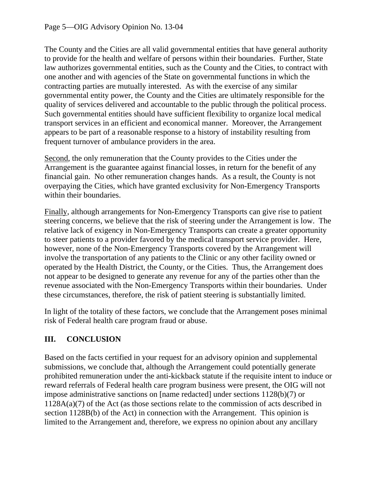The County and the Cities are all valid governmental entities that have general authority to provide for the health and welfare of persons within their boundaries. Further, State law authorizes governmental entities, such as the County and the Cities, to contract with one another and with agencies of the State on governmental functions in which the contracting parties are mutually interested. As with the exercise of any similar governmental entity power, the County and the Cities are ultimately responsible for the quality of services delivered and accountable to the public through the political process. Such governmental entities should have sufficient flexibility to organize local medical transport services in an efficient and economical manner. Moreover, the Arrangement appears to be part of a reasonable response to a history of instability resulting from frequent turnover of ambulance providers in the area.

Second, the only remuneration that the County provides to the Cities under the Arrangement is the guarantee against financial losses, in return for the benefit of any financial gain. No other remuneration changes hands. As a result, the County is not overpaying the Cities, which have granted exclusivity for Non-Emergency Transports within their boundaries.

Finally, although arrangements for Non-Emergency Transports can give rise to patient steering concerns, we believe that the risk of steering under the Arrangement is low. The relative lack of exigency in Non-Emergency Transports can create a greater opportunity to steer patients to a provider favored by the medical transport service provider. Here, however, none of the Non-Emergency Transports covered by the Arrangement will involve the transportation of any patients to the Clinic or any other facility owned or operated by the Health District, the County, or the Cities. Thus, the Arrangement does not appear to be designed to generate any revenue for any of the parties other than the revenue associated with the Non-Emergency Transports within their boundaries. Under these circumstances, therefore, the risk of patient steering is substantially limited.

In light of the totality of these factors, we conclude that the Arrangement poses minimal risk of Federal health care program fraud or abuse.

# **III. CONCLUSION**

Based on the facts certified in your request for an advisory opinion and supplemental submissions, we conclude that, although the Arrangement could potentially generate prohibited remuneration under the anti-kickback statute if the requisite intent to induce or reward referrals of Federal health care program business were present, the OIG will not impose administrative sanctions on [name redacted] under sections 1128(b)(7) or 1128A(a)(7) of the Act (as those sections relate to the commission of acts described in section 1128B(b) of the Act) in connection with the Arrangement. This opinion is limited to the Arrangement and, therefore, we express no opinion about any ancillary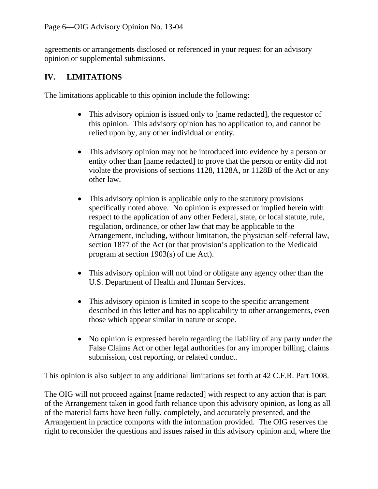agreements or arrangements disclosed or referenced in your request for an advisory opinion or supplemental submissions.

### **IV. LIMITATIONS**

The limitations applicable to this opinion include the following:

- This advisory opinion is issued only to [name redacted], the requestor of this opinion. This advisory opinion has no application to, and cannot be relied upon by, any other individual or entity.
- This advisory opinion may not be introduced into evidence by a person or entity other than [name redacted] to prove that the person or entity did not violate the provisions of sections 1128, 1128A, or 1128B of the Act or any other law.
- This advisory opinion is applicable only to the statutory provisions specifically noted above. No opinion is expressed or implied herein with respect to the application of any other Federal, state, or local statute, rule, regulation, ordinance, or other law that may be applicable to the Arrangement, including, without limitation, the physician self-referral law, section 1877 of the Act (or that provision's application to the Medicaid program at section 1903(s) of the Act).
- This advisory opinion will not bind or obligate any agency other than the U.S. Department of Health and Human Services.
- This advisory opinion is limited in scope to the specific arrangement described in this letter and has no applicability to other arrangements, even those which appear similar in nature or scope.
- No opinion is expressed herein regarding the liability of any party under the False Claims Act or other legal authorities for any improper billing, claims submission, cost reporting, or related conduct.

This opinion is also subject to any additional limitations set forth at 42 C.F.R. Part 1008.

The OIG will not proceed against [name redacted] with respect to any action that is part of the Arrangement taken in good faith reliance upon this advisory opinion, as long as all of the material facts have been fully, completely, and accurately presented, and the Arrangement in practice comports with the information provided. The OIG reserves the right to reconsider the questions and issues raised in this advisory opinion and, where the